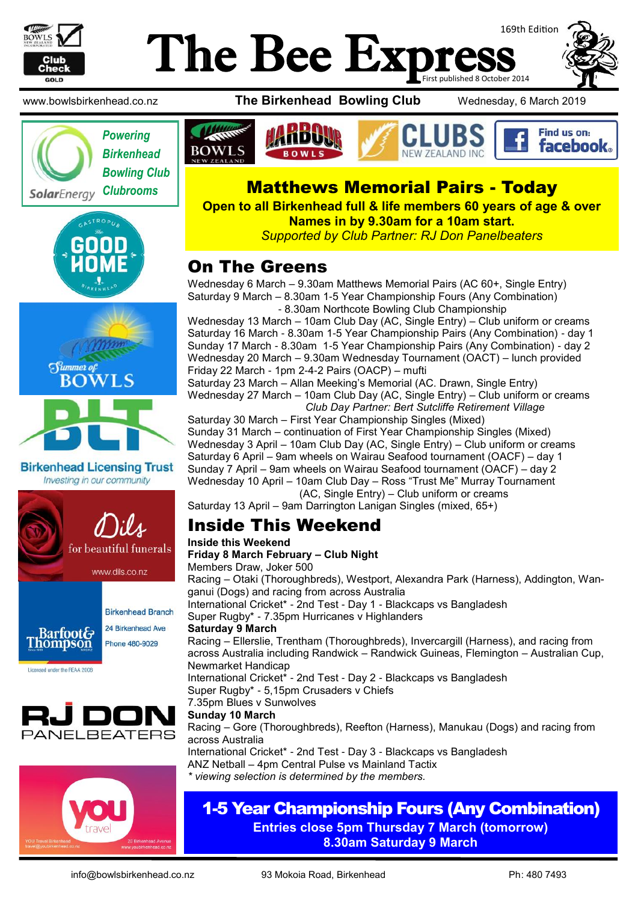

## 169th Edition The Bee Exp First published 8 October 2014







**Birkenhead Licensing Trust** Investing in our community















# SolarEnergy Clubrooms | **Matthews Memorial Pairs - Today**

**Open to all Birkenhead full & life members 60 years of age & over Names in by 9.30am for a 10am start.** *Supported by Club Partner: RJ Don Panelbeaters*

### On The Greens

Wednesday 6 March – 9.30am Matthews Memorial Pairs (AC 60+, Single Entry) Saturday 9 March – 8.30am 1-5 Year Championship Fours (Any Combination) - 8.30am Northcote Bowling Club Championship

Wednesday 13 March – 10am Club Day (AC, Single Entry) – Club uniform or creams Saturday 16 March - 8.30am 1-5 Year Championship Pairs (Any Combination) - day 1 Sunday 17 March - 8.30am 1-5 Year Championship Pairs (Any Combination) - day 2 Wednesday 20 March – 9.30am Wednesday Tournament (OACT) – lunch provided Friday 22 March - 1pm 2-4-2 Pairs (OACP) – mufti

Saturday 23 March – Allan Meeking's Memorial (AC. Drawn, Single Entry) Wednesday 27 March – 10am Club Day (AC, Single Entry) – Club uniform or creams *Club Day Partner: Bert Sutcliffe Retirement Village*

Saturday 30 March – First Year Championship Singles (Mixed) Sunday 31 March – continuation of First Year Championship Singles (Mixed) Wednesday 3 April – 10am Club Day (AC, Single Entry) – Club uniform or creams Saturday 6 April – 9am wheels on Wairau Seafood tournament (OACF) – day 1 Sunday 7 April – 9am wheels on Wairau Seafood tournament (OACF) – day 2 Wednesday 10 April – 10am Club Day – Ross "Trust Me" Murray Tournament (AC, Single Entry) – Club uniform or creams

Saturday 13 April – 9am Darrington Lanigan Singles (mixed, 65+)

## Inside This Weekend

#### **Inside this Weekend**

**Friday 8 March February – Club Night** 

Members Draw, Joker 500

Racing – Otaki (Thoroughbreds), Westport, Alexandra Park (Harness), Addington, Wanganui (Dogs) and racing from across Australia International Cricket\* - 2nd Test - Day 1 - Blackcaps vs Bangladesh Super Rugby\* - 7.35pm Hurricanes v Highlanders **Saturday 9 March**  Racing – Ellerslie, Trentham (Thoroughbreds), Invercargill (Harness), and racing from across Australia including Randwick – Randwick Guineas, Flemington – Australian Cup, Newmarket Handicap International Cricket\* - 2nd Test - Day 2 - Blackcaps vs Bangladesh Super Rugby\* - 5,15pm Crusaders v Chiefs 7.35pm Blues v Sunwolves **Sunday 10 March**  Racing – Gore (Thoroughbreds), Reefton (Harness), Manukau (Dogs) and racing from across Australia

International Cricket\* - 2nd Test - Day 3 - Blackcaps vs Bangladesh ANZ Netball – 4pm Central Pulse vs Mainland Tactix *\* viewing selection is determined by the members.*

#### 1-5 Year Championship Fours (Any Combination) **Entries close 5pm Thursday 7 March (tomorrow)**

**8.30am Saturday 9 March**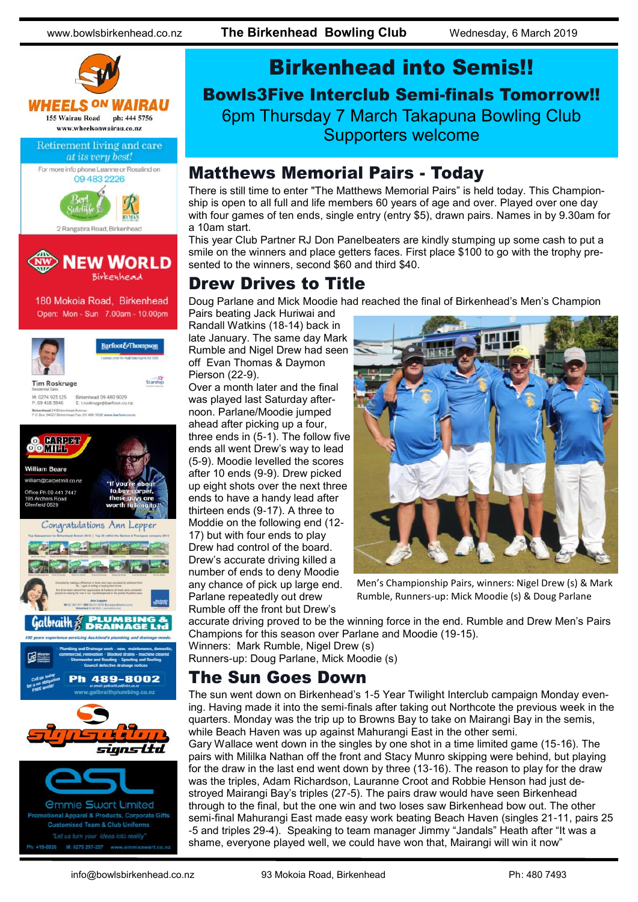

# Birkenhead into Semis!! Bowls3Five Interclub Semi-finals Tomorrow!! 6pm Thursday 7 March Takapuna Bowling Club Supporters welcome

### Matthews Memorial Pairs - Today

There is still time to enter "The Matthews Memorial Pairs" is held today. This Championship is open to all full and life members 60 years of age and over. Played over one day with four games of ten ends, single entry (entry \$5), drawn pairs. Names in by 9.30am for a 10am start.

This year Club Partner RJ Don Panelbeaters are kindly stumping up some cash to put a smile on the winners and place getters faces. First place \$100 to go with the trophy presented to the winners, second \$60 and third \$40.

### Drew Drives to Title

Doug Parlane and Mick Moodie had reached the final of Birkenhead's Men's Champion

Pairs beating Jack Huriwai and Randall Watkins (18-14) back in late January. The same day Mark Rumble and Nigel Drew had seen off Evan Thomas & Daymon Pierson (22-9).

Over a month later and the final was played last Saturday afternoon. Parlane/Moodie jumped ahead after picking up a four, three ends in (5-1). The follow five ends all went Drew's way to lead (5-9). Moodie levelled the scores after 10 ends (9-9). Drew picked up eight shots over the next three ends to have a handy lead after thirteen ends (9-17). A three to Moddie on the following end (12- 17) but with four ends to play Drew had control of the board. Drew's accurate driving killed a number of ends to deny Moodie any chance of pick up large end. Parlane repeatedly out drew Rumble off the front but Drew's



Men's Championship Pairs, winners: Nigel Drew (s) & Mark Rumble, Runners-up: Mick Moodie (s) & Doug Parlane

accurate driving proved to be the winning force in the end. Rumble and Drew Men's Pairs Champions for this season over Parlane and Moodie (19-15).

Winners: Mark Rumble, Nigel Drew (s) Runners-up: Doug Parlane, Mick Moodie (s)

#### The Sun Goes Down

The sun went down on Birkenhead's 1-5 Year Twilight Interclub campaign Monday evening. Having made it into the semi-finals after taking out Northcote the previous week in the quarters. Monday was the trip up to Browns Bay to take on Mairangi Bay in the semis, while Beach Haven was up against Mahurangi East in the other semi.

Gary Wallace went down in the singles by one shot in a time limited game (15-16). The pairs with Mililka Nathan off the front and Stacy Munro skipping were behind, but playing for the draw in the last end went down by three (13-16). The reason to play for the draw was the triples, Adam Richardson, Lauranne Croot and Robbie Henson had just destroyed Mairangi Bay's triples (27-5). The pairs draw would have seen Birkenhead through to the final, but the one win and two loses saw Birkenhead bow out. The other semi-final Mahurangi East made easy work beating Beach Haven (singles 21-11, pairs 25 -5 and triples 29-4). Speaking to team manager Jimmy "Jandals" Heath after "It was a shame, everyone played well, we could have won that, Mairangi will win it now"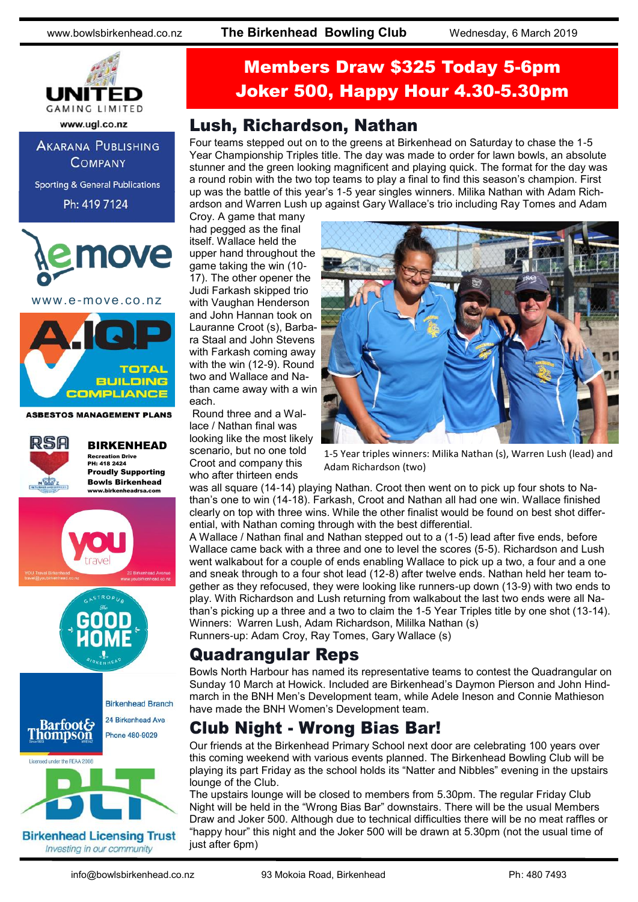

**AKARANA PUBLISHING** 

**COMPANY** 

**Sporting & General Publications** 

Ph: 419 7124

nove

www.e-move.co.nz



**ASBESTOS MANAGEMENT PLANS** 



BIRKENHEAD Recreation Drive PH: 418 2424 Proudly Supporting



**Birkenhead Licensing Trust** Investing in our community

# Members Draw \$325 Today 5-6pm Joker 500, Happy Hour 4.30-5.30pm

### Lush, Richardson, Nathan

Four teams stepped out on to the greens at Birkenhead on Saturday to chase the 1-5 Year Championship Triples title. The day was made to order for lawn bowls, an absolute stunner and the green looking magnificent and playing quick. The format for the day was a round robin with the two top teams to play a final to find this season's champion. First up was the battle of this year's 1-5 year singles winners. Milika Nathan with Adam Richardson and Warren Lush up against Gary Wallace's trio including Ray Tomes and Adam

Croy. A game that many had pegged as the final itself. Wallace held the upper hand throughout the game taking the win (10- 17). The other opener the Judi Farkash skipped trio with Vaughan Henderson and John Hannan took on Lauranne Croot (s), Barbara Staal and John Stevens with Farkash coming away with the win (12-9). Round two and Wallace and Nathan came away with a win each.

Round three and a Wallace / Nathan final was looking like the most likely scenario, but no one told Croot and company this who after thirteen ends



1-5 Year triples winners: Milika Nathan (s), Warren Lush (lead) and Adam Richardson (two)

was all square (14-14) playing Nathan. Croot then went on to pick up four shots to Nathan's one to win (14-18). Farkash, Croot and Nathan all had one win. Wallace finished clearly on top with three wins. While the other finalist would be found on best shot differential, with Nathan coming through with the best differential.

A Wallace / Nathan final and Nathan stepped out to a (1-5) lead after five ends, before Wallace came back with a three and one to level the scores (5-5). Richardson and Lush went walkabout for a couple of ends enabling Wallace to pick up a two, a four and a one and sneak through to a four shot lead (12-8) after twelve ends. Nathan held her team together as they refocused, they were looking like runners-up down (13-9) with two ends to play. With Richardson and Lush returning from walkabout the last two ends were all Nathan's picking up a three and a two to claim the 1-5 Year Triples title by one shot (13-14). Winners: Warren Lush, Adam Richardson, Mililka Nathan (s) Runners-up: Adam Croy, Ray Tomes, Gary Wallace (s)

### Quadrangular Reps

Bowls North Harbour has named its representative teams to contest the Quadrangular on Sunday 10 March at Howick. Included are Birkenhead's Daymon Pierson and John Hindmarch in the BNH Men's Development team, while Adele Ineson and Connie Mathieson have made the BNH Women's Development team.

## Club Night - Wrong Bias Bar!

Our friends at the Birkenhead Primary School next door are celebrating 100 years over this coming weekend with various events planned. The Birkenhead Bowling Club will be playing its part Friday as the school holds its "Natter and Nibbles" evening in the upstairs lounge of the Club.

The upstairs lounge will be closed to members from 5.30pm. The regular Friday Club Night will be held in the "Wrong Bias Bar" downstairs. There will be the usual Members Draw and Joker 500. Although due to technical difficulties there will be no meat raffles or "happy hour" this night and the Joker 500 will be drawn at 5.30pm (not the usual time of just after 6pm)